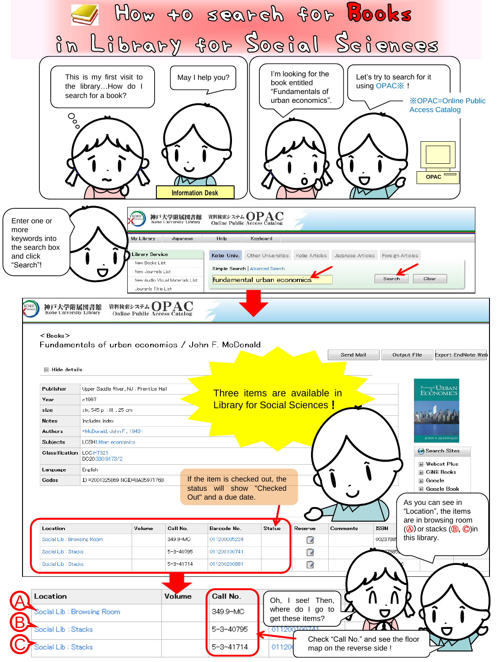